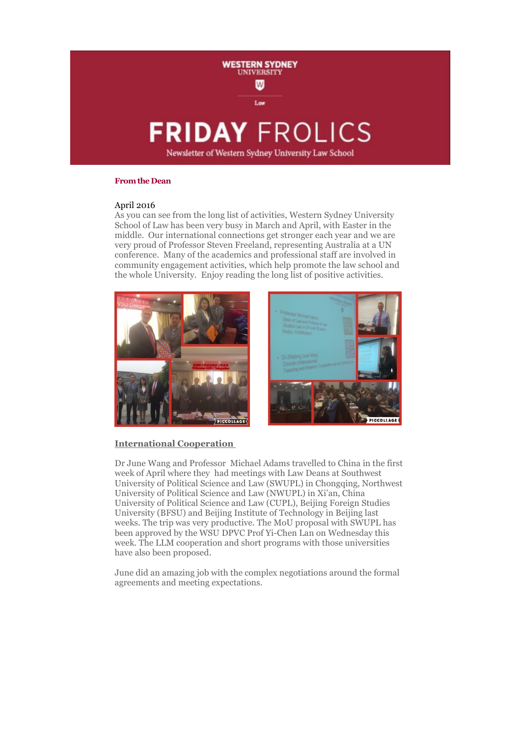

### **From the Dean**

# April 2016

As you can see from the long list of activities, Western Sydney University School of Law has been very busy in March and April, with Easter in the middle. Our international connections get stronger each year and we are very proud of Professor Steven Freeland, representing Australia at a UN conference. Many of the academics and professional staff are involved in community engagement activities, which help promote the law school and the whole University. Enjoy reading the long list of positive activities.



# **International Cooperation**

Dr June Wang and Professor Michael Adams travelled to China in the first week of April where they had meetings with Law Deans at Southwest University of Political Science and Law (SWUPL) in Chongqing, Northwest University of Political Science and Law (NWUPL) in Xi'an, China University of Political Science and Law (CUPL), Beijing Foreign Studies University (BFSU) and Beijing Institute of Technology in Beijing last weeks. The trip was very productive. The MoU proposal with SWUPL has been approved by the WSU DPVC Prof Yi-Chen Lan on Wednesday this week. The LLM cooperation and short programs with those universities have also been proposed.

June did an amazing job with the complex negotiations around the formal agreements and meeting expectations.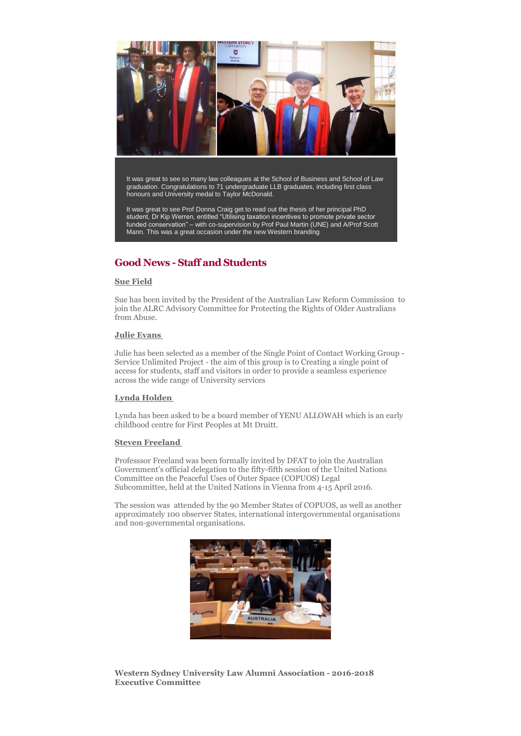

It was great to see so many law colleagues at the School of Business and School of Law graduation. Congratulations to 71 undergraduate LLB graduates, including first class honours and University medal to Taylor McDonald.

It was great to see Prof Donna Craig get to read out the thesis of her principal PhD student, Dr Kip Werren, entitled "Utilising taxation incentives to promote private sector funded conservation" – with co-supervision by Prof Paul Martin (UNE) and A/Prof Scott Mann. This was a great occasion under the new Western branding

# **Good News - Staff and Students**

## **Sue Field**

Sue has been invited by the President of the Australian Law Reform Commission to join the ALRC Advisory Committee for Protecting the Rights of Older Australians from Abuse.

### **Julie Evans**

Julie has been selected as a member of the Single Point of Contact Working Group - Service Unlimited Project - the aim of this group is to Creating a single point of access for students, staff and visitors in order to provide a seamless experience across the wide range of University services

# **Lynda Holden**

Lynda has been asked to be a board member of YENU ALLOWAH which is an early childhood centre for First Peoples at Mt Druitt.

### **Steven Freeland**

Professsor Freeland was been formally invited by DFAT to join the Australian Government's official delegation to the fifty-fifth session of the United Nations Committee on the Peaceful Uses of Outer Space (COPUOS) Legal Subcommittee, held at the United Nations in Vienna from 4-15 April 2016.

The session was attended by the 90 Member States of COPUOS, as well as another approximately 100 observer States, international intergovernmental organisations and non-governmental organisations.



**Western Sydney University Law Alumni Association - 2016-2018 Executive Committee**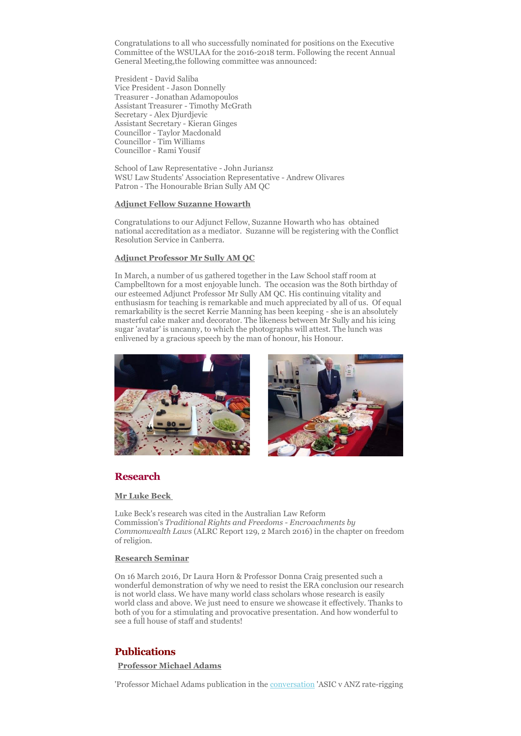Congratulations to all who successfully nominated for positions on the Executive Committee of the WSULAA for the 2016-2018 term. Following the recent Annual General Meeting,the following committee was announced:

President - David Saliba Vice President - Jason Donnelly Treasurer - Jonathan Adamopoulos Assistant Treasurer - Timothy McGrath Secretary - Alex Djurdjevic Assistant Secretary - Kieran Ginges Councillor - Taylor Macdonald Councillor - Tim Williams Councillor - Rami Yousif

School of Law Representative - John Juriansz WSU Law Students' Association Representative - Andrew Olivares Patron - The Honourable Brian Sully AM QC

#### **Adjunct Fellow Suzanne Howarth**

Congratulations to our Adjunct Fellow, Suzanne Howarth who has obtained national accreditation as a mediator. Suzanne will be registering with the Conflict Resolution Service in Canberra.

### **Adjunct Professor Mr Sully AM QC**

In March, a number of us gathered together in the Law School staff room at Campbelltown for a most enjoyable lunch. The occasion was the 80th birthday of our esteemed Adjunct Professor Mr Sully AM QC. His continuing vitality and enthusiasm for teaching is remarkable and much appreciated by all of us. Of equal remarkability is the secret Kerrie Manning has been keeping - she is an absolutely masterful cake maker and decorator. The likeness between Mr Sully and his icing sugar 'avatar' is uncanny, to which the photographs will attest. The lunch was enlivened by a gracious speech by the man of honour, his Honour.





# **Research**

#### **Mr Luke Beck**

Luke Beck's research was cited in the Australian Law Reform Commission's *Traditional Rights and Freedoms - Encroachments by Commonwealth Laws* (ALRC Report 129, 2 March 2016) in the chapter on freedom of religion.

#### **Research Seminar**

On 16 March 2016, Dr Laura Horn & Professor Donna Craig presented such a wonderful demonstration of why we need to resist the ERA conclusion our research is not world class. We have many world class scholars whose research is easily world class and above. We just need to ensure we showcase it effectively. Thanks to both of you for a stimulating and provocative presentation. And how wonderful to see a full house of staff and students!

# **Publications**

**Professor Michael Adams**

'Professor Michael Adams publication in the [conversation](https://theconversation.com/asic-v-anz-rate-rigging-case-will-be-one-of-epic-proportions-55932) 'ASIC v ANZ rate-rigging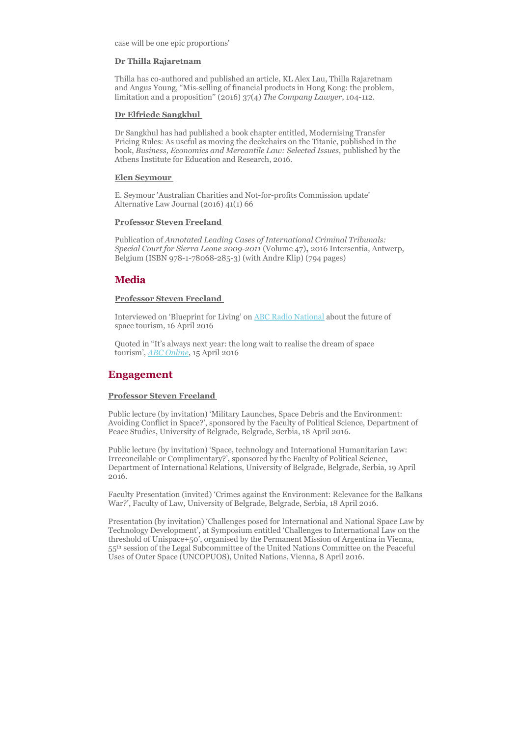case will be one epic proportions'

#### **Dr Thilla Rajaretnam**

Thilla has co-authored and published an article, KL Alex Lau, Thilla Rajaretnam and Angus Young, "Mis-selling of financial products in Hong Kong: the problem, limitation and a proposition'' (2016) 37(4) *The Company Lawyer*, 104-112.

#### **Dr Elfriede Sangkhul**

Dr Sangkhul has had published a book chapter entitled, Modernising Transfer Pricing Rules: As useful as moving the deckchairs on the Titanic, published in the book, *Business, Economics and Mercantile Law: Selected Issues,* published by the Athens Institute for Education and Research, 2016.

#### **Elen Seymour**

E. Seymour 'Australian Charities and Not-for-profits Commission update' Alternative Law Journal (2016) 41(1) 66

#### **Professor Steven Freeland**

Publication of *Annotated Leading Cases of International Criminal Tribunals: Special Court for Sierra Leone 2009-2011* (Volume 47)**,** 2016 Intersentia, Antwerp, Belgium (ISBN 978-1-78068-285-3) (with Andre Klip) (794 pages)

### **Media**

#### **Professor Steven Freeland**

Interviewed on 'Blueprint for Living' on [ABC Radio National](http://www.abc.net.au/radionational/programs/blueprintforliving/space-tourism/7319828) about the future of space tourism, 16 April 2016

Quoted in "It's always next year: the long wait to realise the dream of space tourism', *[ABC Online](http://www.abc.net.au/radionational/programs/blueprintforliving/the-long-wait-to-realise-the-dream-of-space-tourism/7323136)*, 15 April 2016

# **Engagement**

#### **Professor Steven Freeland**

Public lecture (by invitation) 'Military Launches, Space Debris and the Environment: Avoiding Conflict in Space?', sponsored by the Faculty of Political Science, Department of Peace Studies, University of Belgrade, Belgrade, Serbia, 18 April 2016.

Public lecture (by invitation) 'Space, technology and International Humanitarian Law: Irreconcilable or Complimentary?', sponsored by the Faculty of Political Science, Department of International Relations, University of Belgrade, Belgrade, Serbia, 19 April 2016.

Faculty Presentation (invited) 'Crimes against the Environment: Relevance for the Balkans War?', Faculty of Law, University of Belgrade, Belgrade, Serbia, 18 April 2016.

Presentation (by invitation) 'Challenges posed for International and National Space Law by Technology Development', at Symposium entitled 'Challenges to International Law on the threshold of Unispace+50', organised by the Permanent Mission of Argentina in Vienna, 55th session of the Legal Subcommittee of the United Nations Committee on the Peaceful Uses of Outer Space (UNCOPUOS), United Nations, Vienna, 8 April 2016.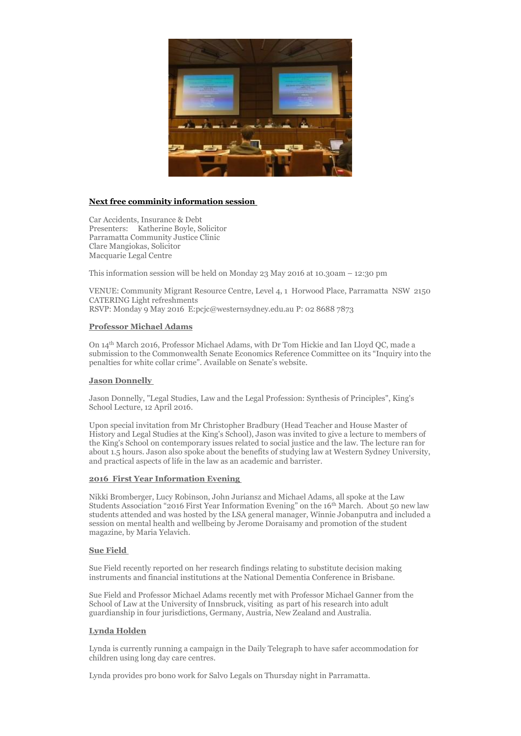

# **Next free comminity information session**

Car Accidents, Insurance & Debt Presenters: Katherine Boyle, Solicitor Parramatta Community Justice Clinic Clare Mangiokas, Solicitor Macquarie Legal Centre

This information session will be held on Monday 23 May 2016 at 10.30am – 12:30 pm

VENUE: Community Migrant Resource Centre, Level 4, 1 Horwood Place, Parramatta NSW 2150 CATERING Light refreshments RSVP: Monday 9 May 2016 E:pcjc@westernsydney.edu.au P: 02 8688 7873

### **Professor Michael Adams**

On 14th March 2016, Professor Michael Adams, with Dr Tom Hickie and Ian Lloyd QC, made a submission to the Commonwealth Senate Economics Reference Committee on its "Inquiry into the penalties for white collar crime". Available on Senate's website.

#### **Jason Donnelly**

Jason Donnelly, "Legal Studies, Law and the Legal Profession: Synthesis of Principles", King's School Lecture, 12 April 2016.

Upon special invitation from Mr Christopher Bradbury (Head Teacher and House Master of History and Legal Studies at the King's School), Jason was invited to give a lecture to members of the King's School on contemporary issues related to social justice and the law. The lecture ran for about 1.5 hours. Jason also spoke about the benefits of studying law at Western Sydney University, and practical aspects of life in the law as an academic and barrister.

#### **2016 First Year Information Evening**

Nikki Bromberger, Lucy Robinson, John Juriansz and Michael Adams, all spoke at the Law Students Association "2016 First Year Information Evening" on the 16th March. About 50 new law students attended and was hosted by the LSA general manager, Winnie Jobanputra and included a session on mental health and wellbeing by Jerome Doraisamy and promotion of the student magazine, by Maria Yelavich.

### **Sue Field**

Sue Field recently reported on her research findings relating to substitute decision making instruments and financial institutions at the National Dementia Conference in Brisbane.

Sue Field and Professor Michael Adams recently met with Professor Michael Ganner from the School of Law at the University of Innsbruck, visiting as part of his research into adult guardianship in four jurisdictions, Germany, Austria, New Zealand and Australia.

### **Lynda Holden**

Lynda is currently running a campaign in the Daily Telegraph to have safer accommodation for children using long day care centres.

Lynda provides pro bono work for Salvo Legals on Thursday night in Parramatta.